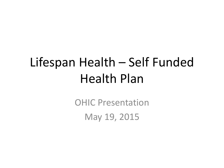## Lifespan Health – Self Funded Health Plan

OHIC Presentation May 19, 2015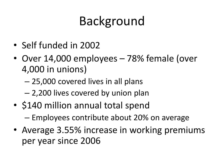# Background

- Self funded in 2002
- Over 14,000 employees 78% female (over 4,000 in unions)
	- 25,000 covered lives in all plans
	- 2,200 lives covered by union plan
- \$140 million annual total spend – Employees contribute about 20% on average
- Average 3.55% increase in working premiums per year since 2006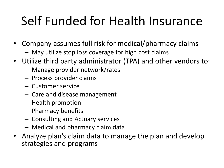# Self Funded for Health Insurance

- Company assumes full risk for medical/pharmacy claims
	- May utilize stop loss coverage for high cost claims
- Utilize third party administrator (TPA) and other vendors to:
	- Manage provider network/rates
	- Process provider claims
	- Customer service
	- Care and disease management
	- Health promotion
	- Pharmacy benefits
	- Consulting and Actuary services
	- Medical and pharmacy claim data
- Analyze plan's claim data to manage the plan and develop strategies and programs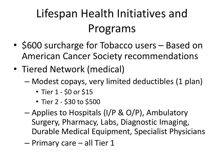- \$600 surcharge for Tobacco users Based on American Cancer Society recommendations
- Tiered Network (medical)
	- Modest copays, very limited deductibles (1 plan)
		- Tier 1 \$0 or \$15
		- Tier 2 \$30 to \$500
	- Applies to Hospitals (I/P & O/P), Ambulatory Surgery, Pharmacy, Labs, Diagnostic Imaging, Durable Medical Equipment, Specialist Physicians
	- Primary care all Tier 1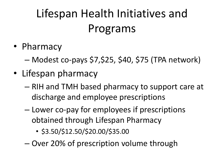- Pharmacy
	- Modest co-pays \$7,\$25, \$40, \$75 (TPA network)
- Lifespan pharmacy
	- RIH and TMH based pharmacy to support care at discharge and employee prescriptions
	- Lower co-pay for employees if prescriptions obtained through Lifespan Pharmacy
		- \$3.50/\$12.50/\$20.00/\$35.00
	- Over 20% of prescription volume through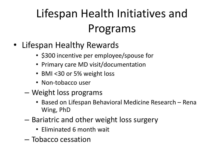- Lifespan Healthy Rewards
	- \$300 incentive per employee/spouse for
	- Primary care MD visit/documentation
	- BMI <30 or 5% weight loss
	- Non-tobacco user
	- Weight loss programs
		- Based on Lifespan Behavioral Medicine Research Rena Wing, PhD
	- Bariatric and other weight loss surgery
		- Eliminated 6 month wait
	- Tobacco cessation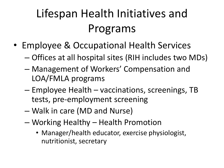- Employee & Occupational Health Services
	- Offices at all hospital sites (RIH includes two MDs)
	- Management of Workers' Compensation and LOA/FMLA programs
	- Employee Health vaccinations, screenings, TB tests, pre-employment screening
	- Walk in care (MD and Nurse)
	- Working Healthy Health Promotion
		- Manager/health educator, exercise physiologist, nutritionist, secretary